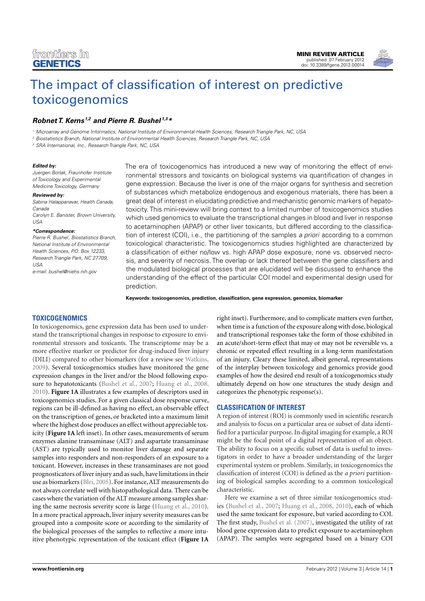

# [The impact of classification of interest on predictive](http://www.frontiersin.org/Toxicogenomics/10.3389/fgene.2012.00014/abstract) toxicogenomics

# *[Robnet T. Kerns](http://www.frontiersin.org/Community/WhosWhoDetails.aspx?UID=42902&d=1&sname=RobnetKerns&name=Science) 1,2 and [Pierre R. Bushel](http://www.frontiersin.org/Community/WhosWhoDetails.aspx?UID=37563&d=1&sname=PierreBushel&name=Science) 1,3\**

<sup>1</sup> Microarray and Genome Informatics, National Institute of Environmental Health Sciences, Research Triangle Park, NC, USA

<sup>2</sup> Biostatistics Branch, National Institute of Environmental Health Sciences, Research Triangle Park, NC, USA

<sup>3</sup> SRA International, Inc., Research Triangle Park, NC, USA

#### *Edited by:*

Juergen Borlak, Fraunhofer Institute of Toxicology and Experimental Medicine Toxicology, Germany

#### *Reviewed by:*

Sabina Halappanavar, Health Canada, Canada

Carolyn E. Banister, Brown University, USA

#### *\*Correspondence:*

Pierre R. Bushel, Biostatistics Branch, National Institute of Environmental Health Sciences, P.O. Box 12233. Research Triangle Park, NC 27709, USA. e-mail: [bushel@niehs.nih.gov](mailto:bushel@niehs.nih.gov)

The era of toxicogenomics has introduced a new way of monitoring the effect of environmental stressors and toxicants on biological systems via quantification of changes in gene expression. Because the liver is one of the major organs for synthesis and secretion of substances which metabolize endogenous and exogenous materials, there has been a great deal of interest in elucidating predictive and mechanistic genomic markers of hepatotoxicity. This mini-review will bring context to a limited number of toxicogenomics studies which used genomics to evaluate the transcriptional changes in blood and liver in response to acetaminophen (APAP) or other liver toxicants, but differed according to the classification of interest (COI), i.e., the partitioning of the samples *a priori* according to a common toxicological characteristic. The toxicogenomics studies highlighted are characterized by a classification of either no/low vs. high APAP dose exposure, none vs. observed necrosis, and severity of necrosis. The overlap or lack thereof between the gene classifiers and the modulated biological processes that are elucidated will be discussed to enhance the understanding of the effect of the particular COI model and experimental design used for prediction.

**Keywords: toxicogenomics, prediction, classification, gene expression, genomics, biomarker**

## **TOXICOGENOMICS**

In toxicogenomics, gene expression data has been used to understand the transcriptional changes in response to exposure to environmental stressors and toxicants. The transcriptome may be a more effective marker or predictor for drug-induced liver injury (DILI) compared to other biomarkers (for a review see [Watkins,](#page-4-0) [2009\)](#page-4-0). Several toxicogenomics studies have monitored the gene expression changes in the liver and/or the blood following exposure to hepatotoxicants [\(Bushel et al., 2007](#page-3-0); [Huang et al.](#page-3-0), [2008,](#page-3-0) [2010\)](#page-3-0). **[Figure 1A](#page-1-0)** illustrates a few examples of descriptors used in toxicogenomics studies. For a given classical dose response curve, regions can be ill-defined as having no effect, an observable effect on the transcription of genes, or bracketed into a maximum limit where the highest dose produces an effect without appreciable toxicity (**[Figure 1A](#page-1-0)** left inset). In other cases, measurements of serum enzymes alanine transaminase (ALT) and aspartate transaminase (AST) are typically used to monitor liver damage and separate samples into responders and non-responders of an exposure to a toxicant. However, increases in these transaminases are not good prognosticators of liver injury and as such, have limitations in their use as biomarkers [\(Blei, 2005](#page-3-0)). For instance,ALT measurements do not always correlate well with histopathological data. There can be cases where the variation of the ALT measure among samples sharing the same necrosis severity score is large [\(Huang et al.](#page-3-0), [2010](#page-3-0)). In a more practical approach, liver injury severity measures can be grouped into a composite score or according to the similarity of the biological processes of the samples to reflective a more intuitive phenotypic representation of the toxicant effect (**[Figure 1A](#page-1-0)**

right inset). Furthermore, and to complicate matters even further, when time is a function of the exposure along with dose, biological and transcriptional responses take the form of those exhibited in an acute/short-term effect that may or may not be reversible vs. a chronic or repeated effect resulting in a long-term manifestation of an injury. Cleary these limited, albeit general, representations of the interplay between toxicology and genomics provide good examples of how the desired end result of a toxicogenomics study ultimately depend on how one structures the study design and categorizes the phenotypic response(s).

## **CLASSIFICATION OF INTEREST**

A region of interest (ROI) is commonly used in scientific research and analysis to focus on a particular area or subset of data identified for a particular purpose. In digital imaging for example, a ROI might be the focal point of a digital representation of an object. The ability to focus on a specific subset of data is useful to investigators in order to have a broader understanding of the larger experimental system or problem. Similarly, in toxicogenomics the classification of interest (COI) is defined as the *a priori* partitioning of biological samples according to a common toxicological characteristic.

Here we examine a set of three similar toxicogenomics studies [\(Bushel et al.](#page-3-0), [2007;](#page-3-0) [Huang et al., 2008, 2010\)](#page-3-0), each of which used the same toxicant for exposure, but varied according to COI. The first study, [Bushel et al.](#page-3-0) [\(2007](#page-3-0)), investigated the utility of rat blood gene expression data to predict exposure to acetaminophen (APAP). The samples were segregated based on a binary COI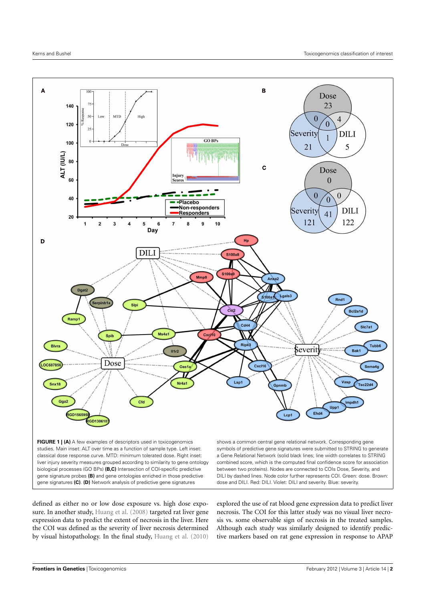<span id="page-1-0"></span>

biological processes (GO BPs) **(B,C)** Intersection of COI-specific predictive gene signature probes **(B)** and gene ontologies enriched in those predictive gene signatures **(C)**. **(D)** Network analysis of predictive gene signatures

between two proteins). Nodes are connected to COIs Dose, Severity, and DILI by dashed lines. Node color further represents COI. Green: dose. Brown: dose and DILI. Red: DILI. Violet: DILI and severity. Blue: severity.

defined as either no or low dose exposure vs. high dose exposure. In another study, [Huang et al.](#page-3-0) [\(2008\)](#page-3-0) targeted rat liver gene expression data to predict the extent of necrosis in the liver. Here the COI was defined as the severity of liver necrosis determined by visual histopathology. In the final study, [Huang et al.](#page-3-0) [\(2010](#page-3-0))

explored the use of rat blood gene expression data to predict liver necrosis. The COI for this latter study was no visual liver necrosis vs. some observable sign of necrosis in the treated samples. Although each study was similarly designed to identify predictive markers based on rat gene expression in response to APAP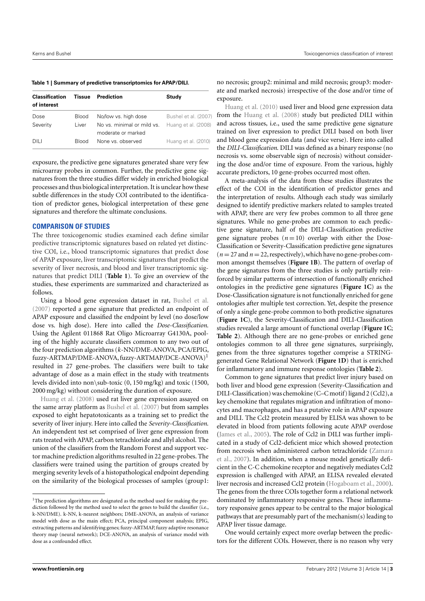**Table 1 | Summary of predictive transcriptomics for APAP/DILI.**

| <b>Classification</b><br>of interest | Tissue                | Prediction                                         | Study                                       |
|--------------------------------------|-----------------------|----------------------------------------------------|---------------------------------------------|
| Dose<br>Severity                     | <b>Blood</b><br>Liver | No/low vs. high dose<br>No vs. minimal or mild vs. | Bushel et al. (2007)<br>Huang et al. (2008) |
| DILI                                 | <b>Blood</b>          | moderate or marked<br>None vs. observed            | Huang et al. (2010)                         |

exposure, the predictive gene signatures generated share very few microarray probes in common. Further, the predictive gene signatures from the three studies differ widely in enriched biological processes and thus biological interpretation. It is unclear how these subtle differences in the study COI contributed to the identification of predictor genes, biological interpretation of these gene signatures and therefore the ultimate conclusions.

#### **COMPARISON OF STUDIES**

The three toxicogenomic studies examined each define similar predictive transcriptomic signatures based on related yet distinctive COI, i.e., blood transcriptomic signatures that predict dose of APAP exposure, liver transcriptomic signatures that predict the severity of liver necrosis, and blood and liver transcriptomic signatures that predict DILI (**Table 1**). To give an overview of the studies, these experiments are summarized and characterized as follows.

Using a blood gene expression dataset in rat, [Bushel et al.](#page-3-0) [\(2007](#page-3-0)) reported a gene signature that predicted an endpoint of APAP exposure and classified the endpoint by level (no dose/low dose vs. high dose). Here into called the *Dose-Classification*. Using the Agilent 011868 Rat Oligo Microarray G4130A, pooling of the highly accurate classifiers common to any two out of the four prediction algorithms (*k*-NN/DME-ANOVA, PCA/EPIG, fuzzy-ARTMAP/DME-ANOVA, fuzzy-ARTMAP/DCE-ANOVA)<sup>1</sup> resulted in 27 gene-probes. The classifiers were built to take advantage of dose as a main effect in the study with treatments levels divided into non\sub-toxic (0, 150 mg/kg) and toxic (1500, [2000](#page-3-0) [mg/kg\)](#page-3-0) [wit](#page-3-0)hout considering the duration of exposure.

Huang et al. [\(2008\)](#page-3-0) used rat liver gene expression assayed on the same array platform as [Bushel et al.](#page-3-0) [\(2007](#page-3-0)) but from samples exposed to eight hepatotoxicants as a training set to predict the severity of liver injury. Here into called the *Severity-Classification*. An independent test set comprised of liver gene expression from rats treated with APAP, carbon tetrachloride and allyl alcohol. The union of the classifiers from the Random Forest and support vector machine prediction algorithms resulted in 22 gene-probes. The classifiers were trained using the partition of groups created by merging severity levels of a histopathological endpoint depending on the similarity of the biological processes of samples (group1: no necrosis; group2: minimal and mild necrosis; group3: moderate and marked necrosis) irrespective of the dose and/or time of [exposure.](#page-3-0)

Huang et al. [\(2010](#page-3-0)) used liver and blood gene expression data from the [Huang et al.](#page-3-0) [\(2008\)](#page-3-0) study but predicted DILI within and across tissues, i.e., used the same predictive gene signature trained on liver expression to predict DILI based on both liver and blood gene expression data (and vice verse). Here into called the *DILI-Classification*. DILI was defined as a binary response (no necrosis vs. some observable sign of necrosis) without considering the dose and/or time of exposure. From the various, highly accurate predictors, 10 gene-probes occurred most often.

A meta-analysis of the data from these studies illustrates the effect of the COI in the identification of predictor genes and the interpretation of results. Although each study was similarly designed to identify predictive markers related to samples treated with APAP, there are very few probes common to all three gene signatures. While no gene-probes are common to each predictive gene signature, half of the DILI-Classification predictive gene signature probes  $(n = 10)$  overlap with either the Dose-Classification or Severity-Classification predictive gene signatures  $(n = 27$  and  $n = 22$ , respectively), which have no gene-probes common amongst themselves (**[Figure 1B](#page-1-0)**). The pattern of overlap of the gene signatures from the three studies is only partially reinforced by similar patterns of intersection of functionally enriched ontologies in the predictive gene signatures (**[Figure 1C](#page-1-0)**) as the Dose-Classification signature is not functionally enriched for gene ontologies after multiple test correction. Yet, despite the presence of only a single gene-probe common to both predictive signatures (**[Figure 1C](#page-1-0)**), the Severity-Classification and DILI-Classification studies revealed a large amount of functional overlap (**[Figure 1C](#page-1-0)**; **[Table 2](#page-3-0)**). Although there are no gene-probes or enriched gene ontologies common to all three gene signatures, surprisingly, genes from the three signatures together comprise a STRINGgenerated Gene Relational Network (**[Figure 1D](#page-1-0)**) that is enriched for inflammatory and immune response ontologies (**[Table 2](#page-3-0)**).

Common to gene signatures that predict liver injury based on both liver and blood gene expression (Severity-Classification and DILI-Classification) was chemokine (C–C motif) ligand 2 (Ccl2), a key chemokine that regulates migration and infiltration of monocytes and macrophages, and has a putative role in APAP exposure and DILI. The Ccl2 protein measured by ELISA was shown to be elevated in blood from patients following acute APAP overdose [\(James et al.](#page-4-0), [2005\)](#page-4-0). The role of Ccl2 in DILI was further implicated in a study of Ccl2-deficient mice which showed protection fro[m necrosis when administered carbon tetrachloride \(](#page-4-0)Zamara et al., [2007](#page-4-0)). In addition, when a mouse model genetically deficient in the C-C chemokine receptor and negatively mediates Ccl2 expression is challenged with APAP, an ELISA revealed elevated liver necrosis and increased Ccl2 protein [\(Hogaboam et al., 2000](#page-3-0)). The genes from the three COIs together form a relational network dominated by inflammatory responsive genes. These inflammatory responsive genes appear to be central to the major biological pathways that are presumably part of the mechanism(s) leading to APAP liver tissue damage.

One would certainly expect more overlap between the predictors for the different COIs. However, there is no reason why very

 $1$ The prediction algorithms are designated as the method used for making the prediction followed by the method used to select the genes to build the classifier (i.e., k-NN/DME). k-NN, k-nearest neighbors; DME-ANOVA, an analysis of variance model with dose as the main effect; PCA, principal component analysis; EPIG, extracting patterns and identifying genes; fuzzy-ARTMAP, fuzzy adaptive resonance theory map (neural network); DCE-ANOVA, an analysis of variance model with dose as a confounded effect.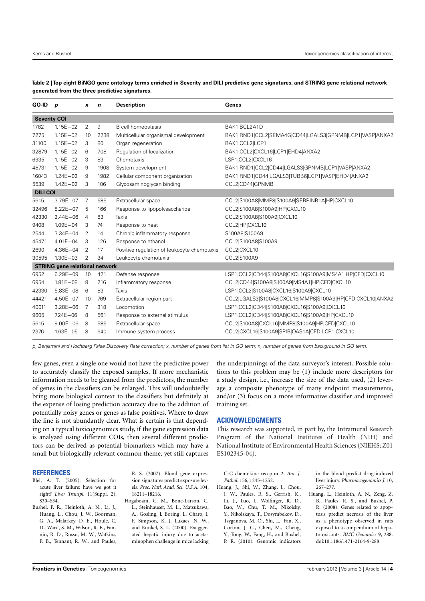| $GO-ID$ p                             |              | x              | $\mathbf n$ | <b>Description</b>                          | Genes                                                     |  |  |  |
|---------------------------------------|--------------|----------------|-------------|---------------------------------------------|-----------------------------------------------------------|--|--|--|
| <b>Severity COI</b>                   |              |                |             |                                             |                                                           |  |  |  |
| 1782                                  | $1.15E - 02$ | 2              | 9           | <b>B</b> cell homeostasis                   | BAK1 BCL2A1D                                              |  |  |  |
| 7275                                  | $1.15E - 02$ | 10             | 2238        | Multicellular organismal development        | BAK1 RND1 CCL2 SEMA4G CD44 LGALS3 GPNMB LCP1 VASP ANXA2   |  |  |  |
| 31100                                 | $1.15E - 02$ | 3              | 80          | Organ regeneration                          | BAK1 CCL2 LCP1                                            |  |  |  |
| 32879                                 | $1.15E - 02$ | 6              | 708         | Regulation of localization                  | BAK1 CCL2 CXCL16 LCP1 EHD4 ANXA2                          |  |  |  |
| 6935                                  | $1.15E - 02$ | 3              | 83          | Chemotaxis                                  | LSP1 CCL2 CXCL16                                          |  |  |  |
| 48731                                 | $1.15E - 02$ | 9              | 1908        | System development                          | BAK1 RND1 CCL2 CD44 LGALS3 GPNMB LCP1 VASP ANXA2          |  |  |  |
| 16043                                 | $1.24E - 02$ | 9              | 1982        | Cellular component organization             | BAK1 RND1 CD44 LGALS3 TUBB6 LCP1 VASP EHD4 ANXA2          |  |  |  |
| 5539                                  | $1.42E - 02$ | 3              | 106         | Glycosaminoglycan binding                   | CCL2 CD44 GPNMB                                           |  |  |  |
| <b>DILI COI</b>                       |              |                |             |                                             |                                                           |  |  |  |
| 5615                                  | $3.79E - 07$ | 7              | 585         | Extracellular space                         | CCL2 S100A8 MMP8 S100A9 SERPINB1A HP CXCL10               |  |  |  |
| 32496                                 | $8.22E - 07$ | 5              | 166         | Response to lipopolysaccharide              | CCL2 S100A8 S100A9 HP CXCL10                              |  |  |  |
| 42330                                 | $2.44E - 06$ | $\overline{4}$ | 83          | Taxis                                       | CCL2 S100A8 S100A9 CXCL10                                 |  |  |  |
| 9408                                  | $1.09E - 04$ | 3              | 74          | Response to heat                            | CCL2 HP CXCL10                                            |  |  |  |
| 2544                                  | $3.34E - 04$ | 2              | 14          | Chronic inflammatory response               | S100A8 S100A9                                             |  |  |  |
| 45471                                 | $4.01E - 04$ | 3              | 126         | Response to ethanol                         | CCL2 S100A8 S100A9                                        |  |  |  |
| 2690                                  | $4.36E - 04$ | 2              | 17          | Positive regulation of leukocyte chemotaxis | CCL2 CXCL10                                               |  |  |  |
| 30595                                 | $1.30E - 03$ | 2              | 34          | Leukocyte chemotaxis                        | CCL2 S100A9                                               |  |  |  |
| <b>STRING</b> gene relational network |              |                |             |                                             |                                                           |  |  |  |
| 6952                                  | $6.29E - 09$ | 10             | 421         | Defense response                            | LSP1 CCL2 CD44 S100A8 CXCL16 S100A9 MS4A1 HP CFD CXCL10   |  |  |  |
| 6954                                  | $1.81E - 08$ | -8             | 216         | Inflammatory response                       | CCL2 CD44 S100A8 S100A9 MS4A1 HP CFD CXCL10               |  |  |  |
| 42330                                 | $5.83E - 08$ | 6              | 83          | <b>Taxis</b>                                | LSP1 CCL2 S100A8 CXCL16 S100A9 CXCL10                     |  |  |  |
| 44421                                 | $4.50E - 07$ | 10             | 769         | Extracellular region part                   | CCL2 LGALS3 S100A8 CXCL16 MMP8 S100A9 HP CFD CXCL10 ANXA2 |  |  |  |
| 40011                                 | $3.28E - 06$ | 7              | 318         | Locomotion                                  | LSP1 CCL2 CD44 S100A8 CXCL16 S100A9 CXCL10                |  |  |  |
| 9605                                  | $7.24E - 06$ | 8              | 561         | Response to external stimulus               | LSP1 CCL2 CD44 S100A8 CXCL16 S100A9 HP CXCL10             |  |  |  |
| 5615                                  | $9.00E - 06$ | 8              | 585         | Extracellular space                         | CCL2 S100A8 CXCL16 MMP8 S100A9 HP CFD CXCL10              |  |  |  |
| 2376                                  | $1.63E - 05$ | 8              | 640         | Immune system process                       | CCL2 CXCL16 S100A9 SPIB OAS1A CFD LCP1 CXCL10             |  |  |  |

<span id="page-3-0"></span>**Table 2 | Top eight BiNGO gene ontology terms enriched in Severity and DILI predictive gene signatures, and STRING gene relational network generated from the three predictive signatures.**

p, Benjamini and Hochberg False Discovery Rate correction; x, number of genes from list in GO term; n, number of genes from background in GO term.

few genes, even a single one would not have the predictive power to accurately classify the exposed samples. If more mechanistic information needs to be gleaned from the predictors, the number of genes in the classifiers can be enlarged. This will undoubtedly bring more biological context to the classifiers but definitely at the expense of losing prediction accuracy due to the addition of potentially noisy genes or genes as false positives. Where to draw the line is not abundantly clear. What is certain is that depending on a typical toxicogenomics study, if the gene expression data is analyzed using different COIs, then several different predictors can be derived as potential biomarkers which may have a small but biologically relevant common theme, yet still captures

## **REFERENCES**

- Blei, A. T. (2005). Selection for acute liver failure: have we got it right? *Liver Transpl.* 11(Suppl. 2), S30–S34.
- Bushel, P. R., Heinloth, A. N., Li, J., Huang, L., Chou, J. W., Boorman, G. A., Malarkey, D. E., Houle, C. D., Ward, S. M., Wilson, R. E., Fannin, R. D., Russo, M. W., Watkins, P. B., Tennant, R. W., and Paules,

R. S. (2007). Blood gene expression signatures predict exposure levels. *Proc. Natl. Acad. Sci. U.S.A.* 104, 18211–18216.

Hogaboam, C. M., Bone-Larson, C. L., Steinhauser, M. L., Matsukawa, A., Gosling, J. Boring, L. Charo, I. F. Simpson, K. J. Lukacs, N. W., and Kunkel, S. L. (2000). Exaggerated hepatic injury due to acetaminophen challenge in mice lacking the underpinnings of the data surveyor's interest. Possible solutions to this problem may be (1) include more descriptors for a study design, i.e., increase the size of the data used, (2) leverage a composite phenotype of many endpoint measurements, and/or (3) focus on a more informative classifier and improved training set.

#### **ACKNOWLEDGMENTS**

This research was supported, in part by, the Intramural Research Program of the National Institutes of Health (NIH) and National Institute of Environmental Health Sciences (NIEHS; Z01 ES102345-04).

C-C chemokine receptor 2. *Am. J. Pathol.* 156, 1245–1252.

Huang, J., Shi, W., Zhang, J., Chou, J. W., Paules, R. S., Gerrish, K., Li, J., Luo, J., Wolfinger, R. D., Bao, W., Chu, T. M., Nikolsky, Y., Nikolskaya, T., Dosymbekov, D., Tsyganova, M. O., Shi, L., Fan, X., Corton, J. C., Chen, M., Cheng, Y., Tong, W., Fang, H., and Bushel, P. R. (2010). Genomic indicators

in the blood predict drug-induced liver injury. *Pharmacogenomics J.* 10, 267–277.

Huang, L., Heinloth, A. N., Zeng, Z. B., Paules, R. S., and Bushel, P. R. (2008). Genes related to apoptosis predict necrosis of the liver as a phenotype observed in rats exposed to a compendium of hepatotoxicants. *BMC Genomics* 9, 288. doi[:10.1186/1471-2164-9-288](http://dx.doi.org/10.1186/1471-2164-9-288)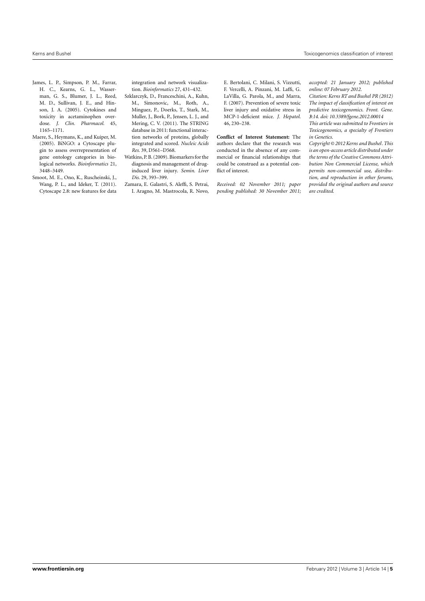- <span id="page-4-0"></span>James, L. P., Simpson, P. M., Farrar, H. C., Kearns, G. L., Wasserman, G. S., Blumer, J. L., Reed, M. D., Sullivan, J. E., and Hinson, J. A. (2005). Cytokines and toxicity in acetaminophen overdose. *J. Clin. Pharmacol.* 45, 1165–1171.
- Maere, S., Heymans, K., and Kuiper, M. (2005). BiNGO: a Cytoscape plugin to assess overrepresentation of gene ontology categories in biological networks. *Bioinformatics* 21, 3448–3449.
- Smoot, M. E., Ono, K., Ruscheinski, J., Wang, P. L., and Ideker, T. (2011). Cytoscape 2.8: new features for data

integration and network visualization. *Bioinformatics* 27, 431–432.

- Szklarczyk, D., Franceschini, A., Kuhn, M., Simonovic, M., Roth, A., Minguez, P., Doerks, T., Stark, M., Muller, J., Bork, P., Jensen, L. J., and Mering, C. V. (2011). The STRING database in 2011: functional interaction networks of proteins, globally integrated and scored. *Nucleic Acids Res.* 39, D561–D568.
- Watkins, P. B. (2009). Biomarkers for the diagnosis and management of druginduced liver injury. *Semin. Liver Dis.* 29, 393–399.
- Zamara, E. Galastri, S. Aleffi, S. Petrai, I. Aragno, M. Mastrocola, R. Novo,

E. Bertolani, C. Milani, S. Vizzutti, F. Vercelli, A. Pinzani, M. Laffi, G. LaVilla, G. Parola, M., and Marra, F. (2007). Prevention of severe toxic liver injury and oxidative stress in MCP-1-deficient mice. *J. Hepatol.* 46, 230–238.

**Conflict of Interest Statement:** The authors declare that the research was conducted in the absence of any commercial or financial relationships that could be construed as a potential conflict of interest.

*Received: 02 November 2011; paper pending published: 30 November 2011;* *accepted: 21 January 2012; published online: 07 February 2012.*

*Citation: Kerns RT and Bushel PR (2012) The impact of classification of interest on predictive toxicogenomics. Front. Gene. 3:14. doi: [10.3389/fgene.2012.00014](http://dx.doi.org/10.3389/fgene.2012.00014)*

*This article was submitted to Frontiers in Toxicogenomics, a specialty of Frontiers in Genetics.*

*Copyright © 2012 Kerns and Bushel. This is an open-access article distributed under the terms of the [Creative Commons Attri](http://creativecommons.org/licenses/by-nc/3.0/)[bution Non Commercial License,](http://creativecommons.org/licenses/by-nc/3.0/) which permits non-commercial use, distribution, and reproduction in other forums, provided the original authors and source are credited.*